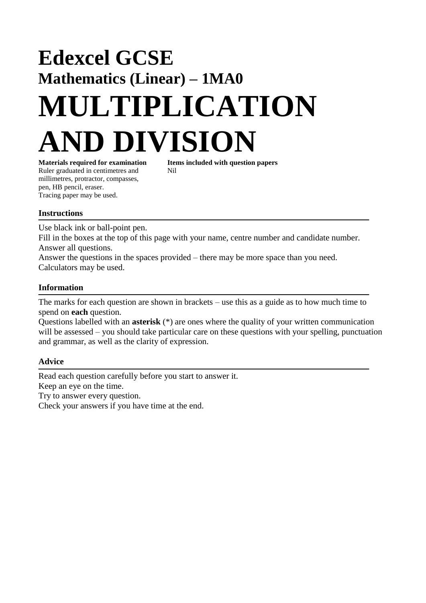# **Edexcel GCSE Mathematics (Linear) – 1MA0 MULTIPLICATION AND DIVISION**

Ruler graduated in centimetres and Nil millimetres, protractor, compasses, pen, HB pencil, eraser. Tracing paper may be used.

**Materials required for examination Items included with question papers**

### **Instructions**

Use black ink or ball-point pen.

Fill in the boxes at the top of this page with your name, centre number and candidate number. Answer all questions.

Answer the questions in the spaces provided – there may be more space than you need. Calculators may be used.

#### **Information**

The marks for each question are shown in brackets – use this as a guide as to how much time to spend on **each** question.

Questions labelled with an **asterisk** (\*) are ones where the quality of your written communication will be assessed – you should take particular care on these questions with your spelling, punctuation and grammar, as well as the clarity of expression.

#### **Advice**

Read each question carefully before you start to answer it. Keep an eye on the time. Try to answer every question. Check your answers if you have time at the end.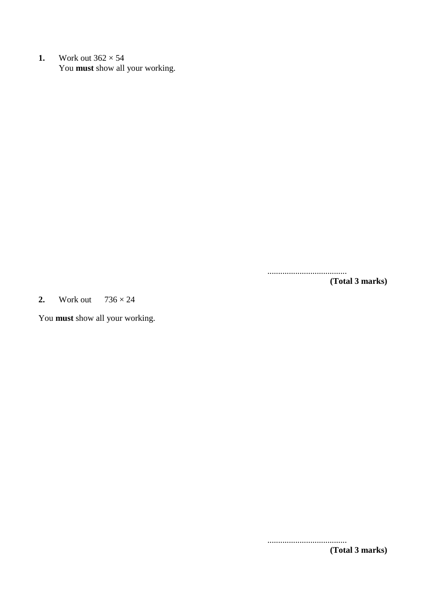**1.** Work out  $362 \times 54$ You **must** show all your working.

.....................................

**(Total 3 marks)**

2. Work out  $736 \times 24$ 

You **must** show all your working.

..................................... **(Total 3 marks)**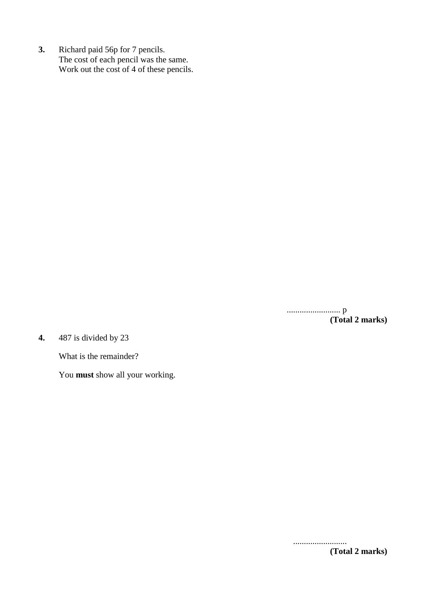**3.** Richard paid 56p for 7 pencils. The cost of each pencil was the same. Work out the cost of 4 of these pencils.

> ......................... p **(Total 2 marks)**

**4.** 487 is divided by 23

What is the remainder?

You **must** show all your working.

......................... **(Total 2 marks)**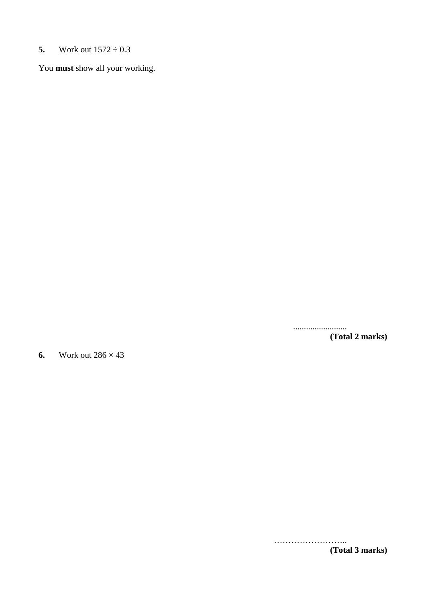## **5.** Work out  $1572 \div 0.3$

You **must** show all your working.

......................... **(Total 2 marks)**

**6.** Work out  $286 \times 43$ 

…………………….. **(Total 3 marks)**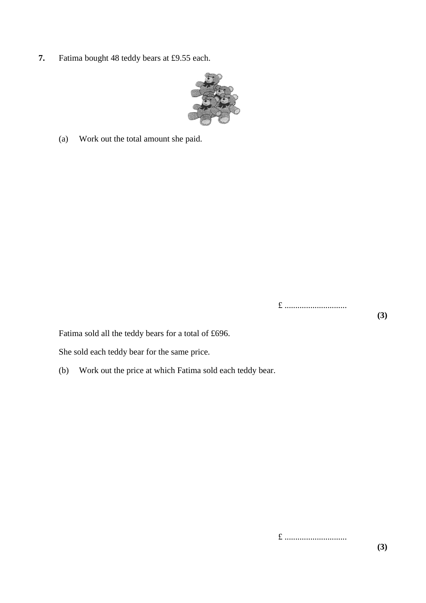**7.** Fatima bought 48 teddy bears at £9.55 each.



(a) Work out the total amount she paid.

£ .............................

Fatima sold all the teddy bears for a total of £696.

She sold each teddy bear for the same price.

(b) Work out the price at which Fatima sold each teddy bear.

£ .............................

**(3)**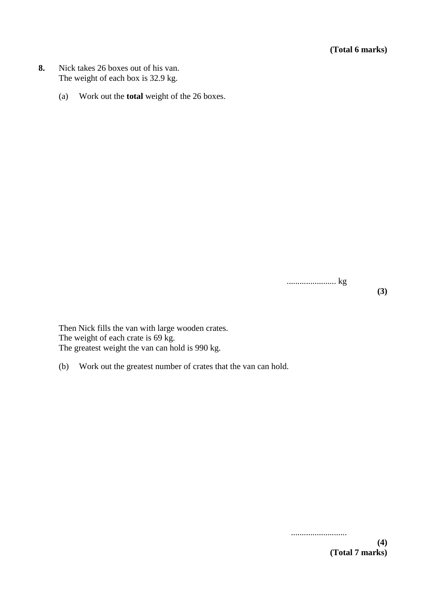- **8.** Nick takes 26 boxes out of his van. The weight of each box is 32.9 kg.
	- (a) Work out the **total** weight of the 26 boxes.

....................... kg

**(3)**

Then Nick fills the van with large wooden crates. The weight of each crate is 69 kg. The greatest weight the van can hold is 990 kg.

(b) Work out the greatest number of crates that the van can hold.

..........................

**(Total 7 marks)**

**(4)**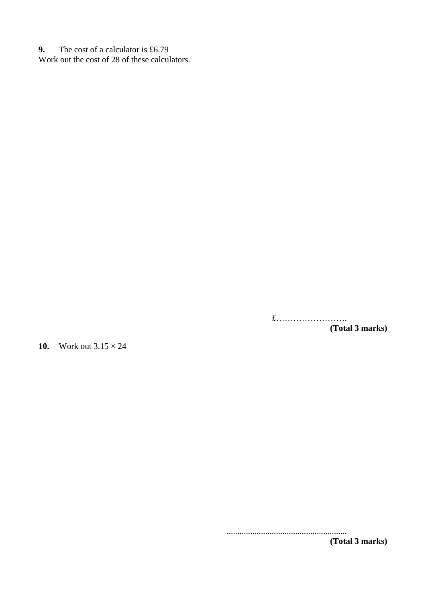**9.** The cost of a calculator is £6.79

Work out the cost of 28 of these calculators.

£……………………. **(Total 3 marks)**

**10.** Work out 3.15 × 24

........................................................ **(Total 3 marks)**